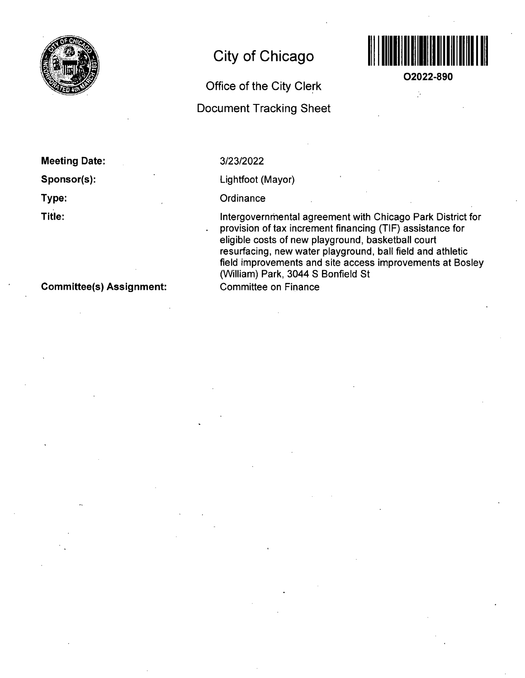

# **City of Chicago**

# **Office of the City Clerk Document Tracking Sheet**



**O2022-890** 

**Meeting Date: Sponsor(s): Type: Title:** 

# 3/23/2022

Lightfoot (Mayor)

**Ordinance** 

Intergovernniental agreement with Chicago Park District for provision of tax increment financing (TIF) assistance for eligible costs of new playground, basketball court resurfacing, new water playground, ball field and athletic field improvements and site access improvements at Bosley (William) Park, 3044 S Bonfield St Committee on Finance

**Committee(s) Assignment:**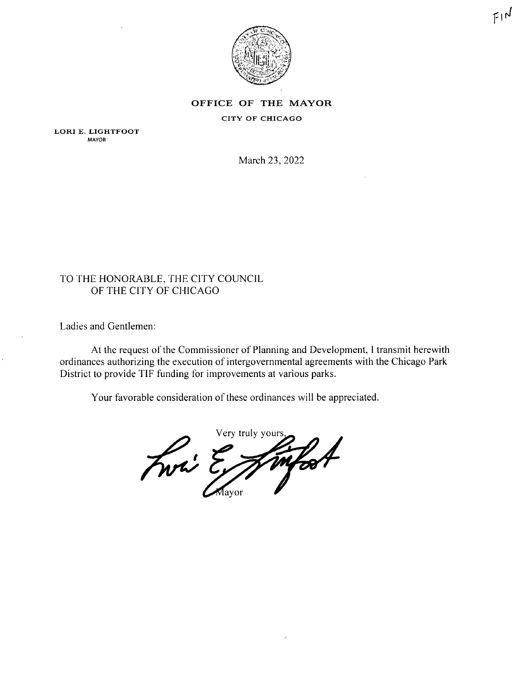

## **OFFICE OF THE MAYOR**

#### CITY OF CHICAGO

LORI E. LIGHTFOOT MAYOR

March 23, 2022

# TO fHE HONORABLE, THE CITY COUNCIL OF THE CITY OF CHICAGO

Ladies and Gentlemen:

At the request of the Commissioner of Planning and Development, I transmit herewith ordinances authorizing the execution of intergovernmental agreements with the Chicago Park District to provide TIF funding for improvements at various parks.

Your favorable consideration of these ordinances will be appreciated.

Very truly yours infort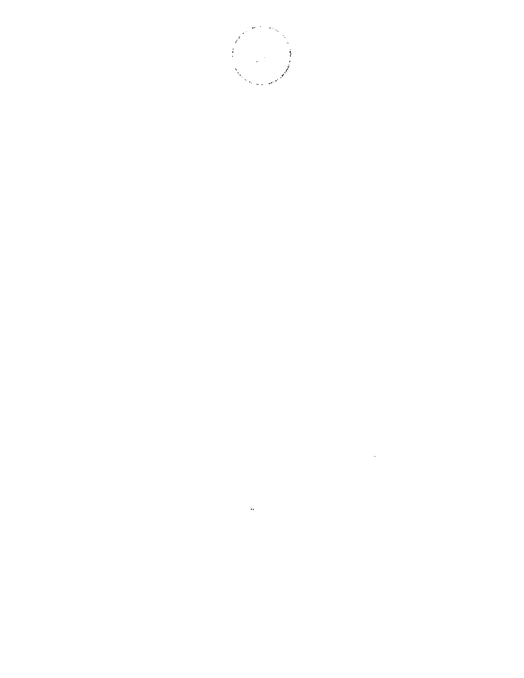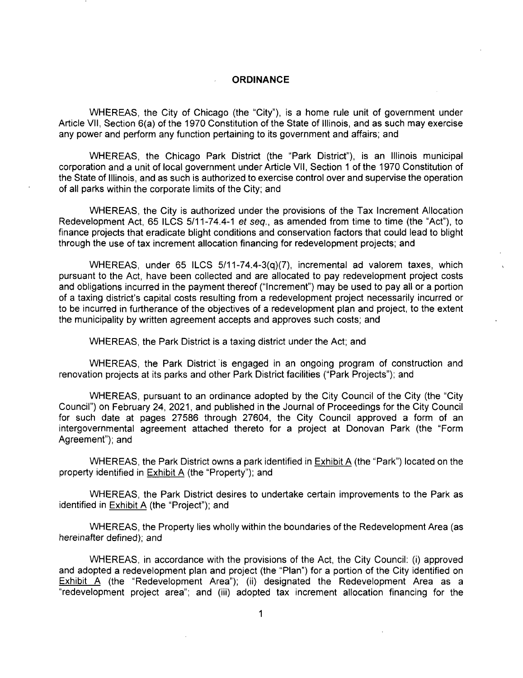#### **ORDINANCE**

WHEREAS, the City of Chicago (the "City"), is a home rule unit of government under Article VII, Section 6(a) of the 1970 Constitution of the State of Illinois, and as such may exercise any power and perform any function pertaining to its government and affairs; and

WHEREAS, the Chicago Park District (the "Park District"), is an Illinois municipal corporation and a unit of local government under Article Vll, Section 1 ofthe 1970 Constitution of the State of Illinois, and as such is authorized to exercise control over and supervise the operation of all parks within the corporate limits of the City; and

WHEREAS, the City is authorized under the provisions of the Tax Increment Allocation Redevelopment Act, 65 ILCS 5/11-74.4-1 et seq., as amended from time to time (the "Act"), to finance projects that eradicate blight conditions and conservation factors that could lead to blight through the use of tax increment allocation financing for redevelopment projects; and

WHEREAS, under 65 ILCS 5/11-74.4-3(q)(7), incremental ad valorem taxes, which pursuant to the Act, have been collected and are allocated to pay redevelopment project costs and obligations incurred in the payment thereof ("Increment") may be used to pay all or a portion of a taxing district's capital costs resulting from a redevelopment project necessarily incurred or to be incurred in furtherance of the objectives of a redevelopment plan and project, to the extent the municipality by written agreement accepts and approves such costs; and

WHEREAS, the Park District is a taxing district under the Act; and

WHEREAS, the Park District is engaged in an ongoing program of construction and renovation projects at its parks and other Park District facilities ("Park Projects"); and

WHEREAS, pursuant to an ordinance adopted by the City Council of the City (the "City Council") on February 24, 2021, and published in the Journal of Proceedings for the City Council for such date at pages 27586 through 27604, the City Council approved a form of an intergovernmental agreement attached thereto for a project at Donovan Park (the "Form Agreement"); and

WHEREAS, the Park District owns a park identified in Exhibit A (the "Park") located on the property identified in Exhibit A (the "Property"); and

WHEREAS, the Park District desires to undertake certain improvements to the Park as identified in Exhibit A (the "Project"); and

WHEREAS, the Property lies wholly within the boundaries of the Redevelopment Area (as hereinafter defined); and

WHEREAS, in accordance with the provisions of the Act, the City Council: (i) approved and adopted a redevelopment plan and project (the "Plan") for a portion of the City identified on Exhibit A (the "Redevelopment Area"); (ii) designated the Redevelopment Area as a "redevelopment project area"; and (iii) adopted tax increment allocation financing for the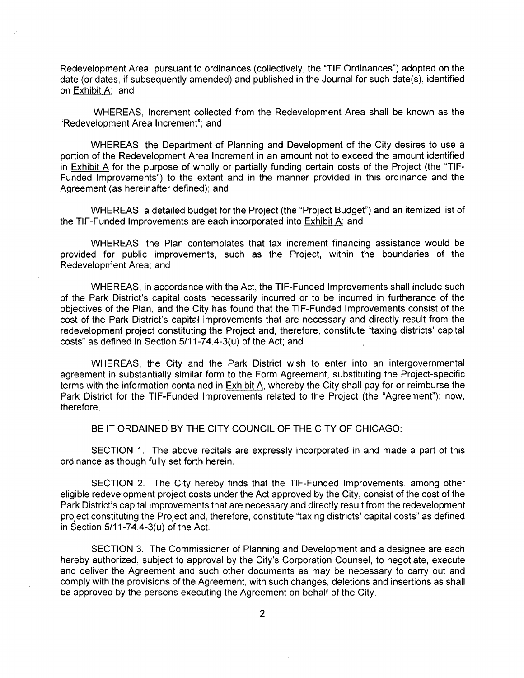Redevelopment Area, pursuant to ordinances (collectively, the "TIF Ordinances") adopted on the date (or dates, if subsequently amended) and published in the Journal for such date(s), identified on Exhibit A; and

WHEREAS, Increment collected from the Redevelopment Area shall be known as the "Redevelopment Area Increment"; and

WHEREAS, the Department of Planning and Development of the City desires to use a portion of the Redevelopment Area Increment in an amount not to exceed the amount identified in Exhibit A for the purpose of wholly or partially funding certain costs of the Project (the "TIF-Funded Improvements") to the extent and in the manner provided in this ordinance and the Agreement (as hereinafter defined); and

WHEREAS, a detailed budget for the Project (the "Project Budget") and an itemized list of the TIF-Funded Improvements are each incorporated into **Exhibit A**; and

WHEREAS, the Plan contemplates that tax increment financing assistance would be provided for public improvements, such as the Project, within the boundaries of the Redevelopment Area; and

WHEREAS, in accordance with the Act, the TIF-Funded Improvements shall include such of the Park District's capital costs necessarily incurred or to be incurred in furtherance of the objectives of the Plan, and the City has found that the TIF-Funded Improvements consist of the cost of the Park District's capital improvements that are necessary and directly result from the redevelopment project constituting the Project and, therefore, constitute "taxing districts' capital costs" as defined in Section 5/11-74.4-3(u) of the Act; and

WHEREAS, the City and the Park District wish to enter into an intergovernmental agreement in substantially similar form to the Form Agreement, substituting the Project-specific terms with the information contained in Exhibit A, whereby the City shall pay for or reimburse the Park District for the TIF-Funded Improvements related to the Project (the "Agreement"); now, therefore,

BE IT ORDAINED BY THE CITY COUNCIL OF THE CITY OF CHICAGO:

SECTION 1. The above recitals are expressly incorporated in and made a part of this ordinance as though fully set forth herein.

SECTION 2. The City hereby finds that the TIF-Funded Improvements, among other eligible redevelopment project costs under the Act approved by the City, consist of the cost of the Park District's capital improvements that are necessary and directly result from the redevelopment project constituting the Project and, therefore, constitute "taxing districts' capital costs" as defined in Section  $5/11-74.4-3(u)$  of the Act.

SECTION 3. The Commissioner of Planning and Development and a designee are each hereby authorized, subject to approval by the City's Corporation Counsel, to negotiate, execute and deliver the Agreement and such other documents as may be necessary to carry out and comply with the provisions of the Agreement, with such changes, deletions and insertions as shall be approved by the persons executing the Agreement on behalf of the City.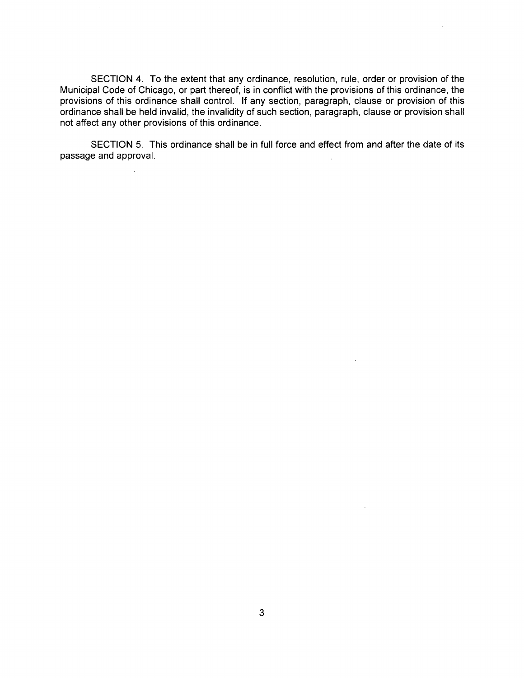SECTION 4. To the extent that any ordinance, resolution, rule, order or provision of the Municipal Code of Chicago, or part thereof, is in conflict with the provisions of this ordinance, the provisions of this ordinance shall control. If any section, paragraph, clause or provision of this ordinance shall be held invalid, the invalidity of such section, paragraph, clause or provision shall not affect any other provisions of this ordinance.

SECTION 5. This ordinance shall be in full force and effect from and after the date of its passage and approval.

 $\cdot$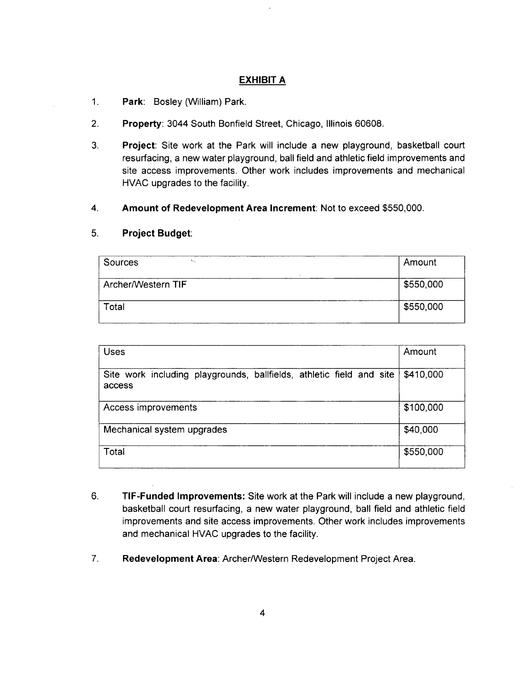## **EXHIBIT A**

- 1. Park: Bosley (William) Park.
- 2. Property: 3044 South Bonfield Street, Chicago, Illinois 60608.
- 3. Project: Site work at the Park will include a new playground, basketball court resurfacing, a new water playground, ball field and athletic field improvements and site access improvements. Other work includes improvements and mechanical HVAC upgrades to the facility.
- 4. Amount of Redevelopment Area Increment: Not to exceed \$550,000.

### **5. Project Budget:**

| Sources<br>$\mathcal{L}_{\text{max}}$ | Amount    |
|---------------------------------------|-----------|
| <b>Archer/Western TIF</b>             | \$550,000 |
| Total                                 | \$550,000 |

| <b>Uses</b>                                                                    | Amount    |
|--------------------------------------------------------------------------------|-----------|
| Site work including playgrounds, ballfields, athletic field and site<br>access | \$410,000 |
| Access improvements                                                            | \$100,000 |
| Mechanical system upgrades                                                     | \$40,000  |
| Total                                                                          | \$550,000 |

- 6. TIF-Funded Improvements: Site work at the Park will include a new playground, basketball court resurfacing, a new water playground, ball field and athletic field improvements and site access improvements. Other work includes improvements and mechanical HVAC upgrades to the facility.
- $7<sub>1</sub>$ Redevelopment Area: Archer/Western Redevelopment Project Area.